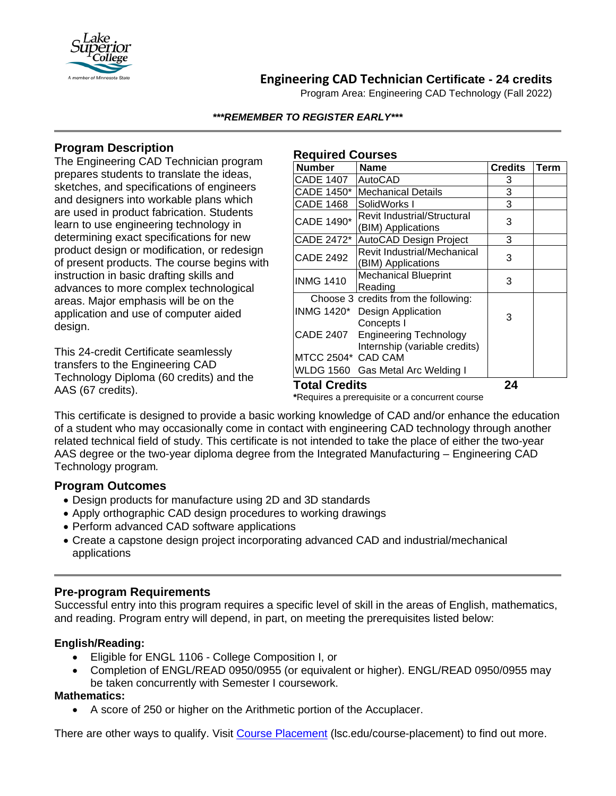

# **Engineering CAD Technician Certificate - 24 credits**

Program Area: Engineering CAD Technology (Fall 2022)

#### *\*\*\*REMEMBER TO REGISTER EARLY\*\*\**

## **Program Description**

The Engineering CAD Technician program prepares students to translate the ideas, sketches, and specifications of engineers and designers into workable plans which are used in product fabrication. Students learn to use engineering technology in determining exact specifications for new product design or modification, or redesign of present products. The course begins with instruction in basic drafting skills and advances to more complex technological areas. Major emphasis will be on the application and use of computer aided design.

This 24-credit Certificate seamlessly transfers to the Engineering CAD Technology Diploma (60 credits) and the AAS (67 credits).

#### **Required Courses**

| <b>Number</b>                                   | <b>Name</b>                                                                         | <b>Credits</b> | <b>Term</b> |
|-------------------------------------------------|-------------------------------------------------------------------------------------|----------------|-------------|
| <b>CADE 1407</b>                                | AutoCAD                                                                             | 3              |             |
| CADE 1450*                                      | <b>Mechanical Details</b>                                                           | 3              |             |
| <b>CADE 1468</b>                                | SolidWorks I                                                                        | 3              |             |
| CADE 1490*                                      | <b>Revit Industrial/Structural</b><br>(BIM) Applications                            | 3              |             |
| CADE 2472*                                      | AutoCAD Design Project                                                              | 3              |             |
| <b>CADE 2492</b>                                | Revit Industrial/Mechanical<br>(BIM) Applications                                   | 3              |             |
| <b>INMG 1410</b>                                | <b>Mechanical Blueprint</b><br>Reading                                              | 3              |             |
|                                                 | Choose 3 credits from the following:<br>INMG 1420* Design Application<br>Concepts I | 3              |             |
| <b>CADE 2407</b>                                | <b>Engineering Technology</b><br>Internship (variable credits)                      |                |             |
| MTCC 2504* CAD CAM                              |                                                                                     |                |             |
|                                                 | WLDG 1560 Gas Metal Arc Welding I                                                   |                |             |
| <b>Total Credits</b>                            |                                                                                     | 24             |             |
| *Requires a prerequisite or a concurrent course |                                                                                     |                |             |

This certificate is designed to provide a basic working knowledge of CAD and/or enhance the education of a student who may occasionally come in contact with engineering CAD technology through another related technical field of study. This certificate is not intended to take the place of either the two-year AAS degree or the two-year diploma degree from the Integrated Manufacturing – Engineering CAD Technology program*.*

### **Program Outcomes**

- Design products for manufacture using 2D and 3D standards
- Apply orthographic CAD design procedures to working drawings
- Perform advanced CAD software applications
- Create a capstone design project incorporating advanced CAD and industrial/mechanical applications

## **Pre-program Requirements**

Successful entry into this program requires a specific level of skill in the areas of English, mathematics, and reading. Program entry will depend, in part, on meeting the prerequisites listed below:

### **English/Reading:**

- Eligible for ENGL 1106 College Composition I, or
- Completion of ENGL/READ 0950/0955 (or equivalent or higher). ENGL/READ 0950/0955 may be taken concurrently with Semester I coursework.

### **Mathematics:**

• A score of 250 or higher on the Arithmetic portion of the Accuplacer.

There are other ways to qualify. Visit [Course Placement](https://www.lsc.edu/course-placement/) (Isc.edu/course-placement) to find out more.